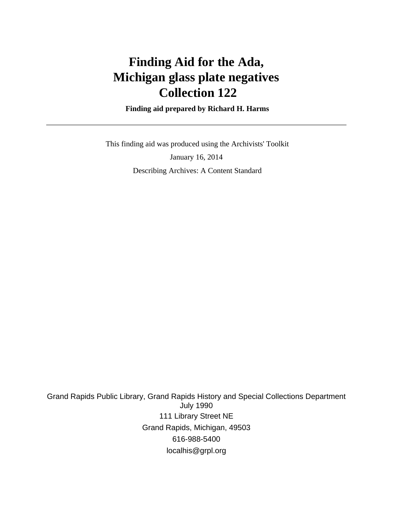# **Finding Aid for the Ada, Michigan glass plate negatives Collection 122**

 **Finding aid prepared by Richard H. Harms**

 This finding aid was produced using the Archivists' Toolkit January 16, 2014 Describing Archives: A Content Standard

Grand Rapids Public Library, Grand Rapids History and Special Collections Department July 1990 111 Library Street NE Grand Rapids, Michigan, 49503 616-988-5400 localhis@grpl.org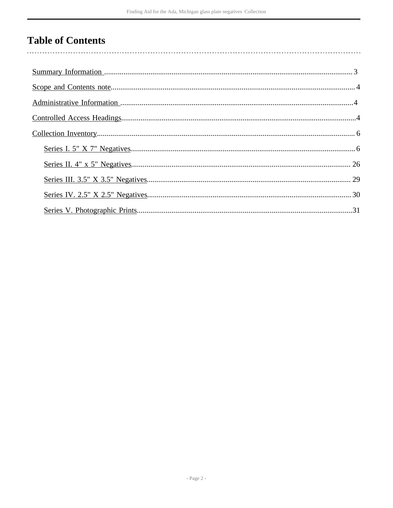# **Table of Contents**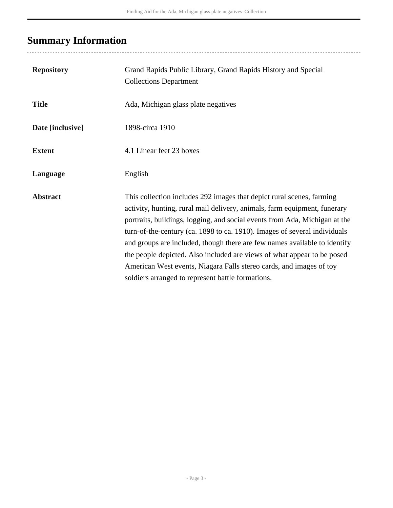# <span id="page-2-0"></span>**Summary Information**

..................................

| <b>Repository</b> | Grand Rapids Public Library, Grand Rapids History and Special<br><b>Collections Department</b>                                                                                                                                                                                                                                                                                                                                                                                                                                                                                                    |
|-------------------|---------------------------------------------------------------------------------------------------------------------------------------------------------------------------------------------------------------------------------------------------------------------------------------------------------------------------------------------------------------------------------------------------------------------------------------------------------------------------------------------------------------------------------------------------------------------------------------------------|
| <b>Title</b>      | Ada, Michigan glass plate negatives                                                                                                                                                                                                                                                                                                                                                                                                                                                                                                                                                               |
| Date [inclusive]  | 1898-circa 1910                                                                                                                                                                                                                                                                                                                                                                                                                                                                                                                                                                                   |
| <b>Extent</b>     | 4.1 Linear feet 23 boxes                                                                                                                                                                                                                                                                                                                                                                                                                                                                                                                                                                          |
| Language          | English                                                                                                                                                                                                                                                                                                                                                                                                                                                                                                                                                                                           |
| <b>Abstract</b>   | This collection includes 292 images that depict rural scenes, farming<br>activity, hunting, rural mail delivery, animals, farm equipment, funerary<br>portraits, buildings, logging, and social events from Ada, Michigan at the<br>turn-of-the-century (ca. 1898 to ca. 1910). Images of several individuals<br>and groups are included, though there are few names available to identify<br>the people depicted. Also included are views of what appear to be posed<br>American West events, Niagara Falls stereo cards, and images of toy<br>soldiers arranged to represent battle formations. |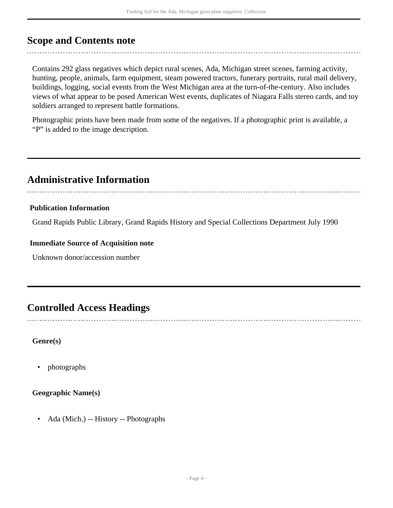# <span id="page-3-0"></span>**Scope and Contents note**

Contains 292 glass negatives which depict rural scenes, Ada, Michigan street scenes, farming activity, hunting, people, animals, farm equipment, steam powered tractors, funerary portraits, rural mail delivery, buildings, logging, social events from the West Michigan area at the turn-of-the-century. Also includes views of what appear to be posed American West events, duplicates of Niagara Falls stereo cards, and toy soldiers arranged to represent battle formations.

Photographic prints have been made from some of the negatives. If a photographic print is available, a "P" is added to the image description.

# <span id="page-3-1"></span>**Administrative Information**

## **Publication Information**

Grand Rapids Public Library, Grand Rapids History and Special Collections Department July 1990

### **Immediate Source of Acquisition note**

Unknown donor/accession number

# <span id="page-3-2"></span>**Controlled Access Headings**

**Genre(s)**

• photographs

### **Geographic Name(s)**

• Ada (Mich.) -- History -- Photographs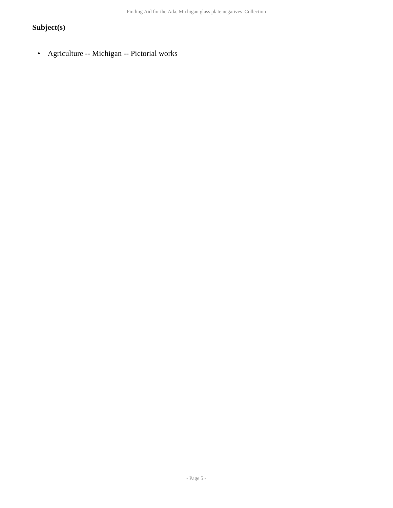# **Subject(s)**

• Agriculture -- Michigan -- Pictorial works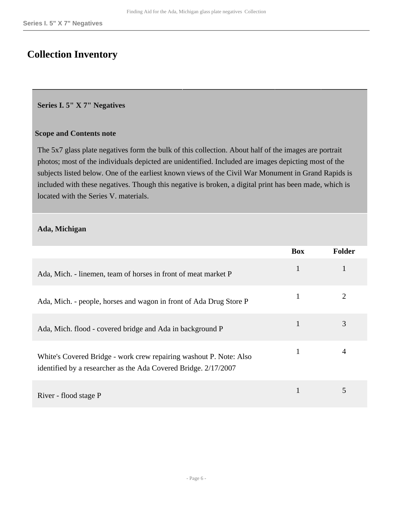# <span id="page-5-0"></span>**Collection Inventory**

#### <span id="page-5-1"></span>**Series I. 5" X 7" Negatives**

#### **Scope and Contents note**

The 5x7 glass plate negatives form the bulk of this collection. About half of the images are portrait photos; most of the individuals depicted are unidentified. Included are images depicting most of the subjects listed below. One of the earliest known views of the Civil War Monument in Grand Rapids is included with these negatives. Though this negative is broken, a digital print has been made, which is located with the Series V. materials.

#### **Ada, Michigan**

|                                                                                                                                       | <b>Box</b> | <b>Folder</b> |
|---------------------------------------------------------------------------------------------------------------------------------------|------------|---------------|
| Ada, Mich. - linemen, team of horses in front of meat market P                                                                        | 1          |               |
| Ada, Mich. - people, horses and wagon in front of Ada Drug Store P                                                                    | 1          |               |
| Ada, Mich. flood - covered bridge and Ada in background P                                                                             | 1          | 3             |
| White's Covered Bridge - work crew repairing washout P. Note: Also<br>identified by a researcher as the Ada Covered Bridge. 2/17/2007 | 1          |               |
| River - flood stage P                                                                                                                 |            | 5             |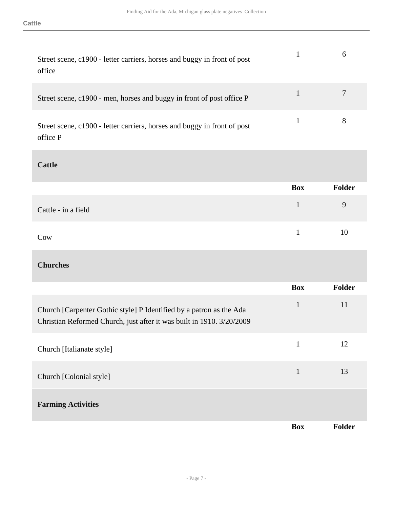| Street scene, c1900 - letter carriers, horses and buggy in front of post<br>office   |   |
|--------------------------------------------------------------------------------------|---|
| Street scene, c1900 - men, horses and buggy in front of post office P                |   |
| Street scene, c1900 - letter carriers, horses and buggy in front of post<br>office P | 8 |

### **Cattle**

|                     | Box | Folder |
|---------------------|-----|--------|
| Cattle - in a field |     | 9      |
| Cow                 | 1.  | 10     |

# **Churches**

|                                                                                                                                              | <b>Box</b>   | Folder |
|----------------------------------------------------------------------------------------------------------------------------------------------|--------------|--------|
| Church [Carpenter Gothic style] P Identified by a patron as the Ada<br>Christian Reformed Church, just after it was built in 1910. 3/20/2009 | $\mathbf{1}$ | 11     |
| Church [Italianate style]                                                                                                                    | 1            | 12     |
| Church [Colonial style]                                                                                                                      | 1            | 13     |
| <b>Farming Activities</b>                                                                                                                    |              |        |
|                                                                                                                                              | <b>Box</b>   | Folder |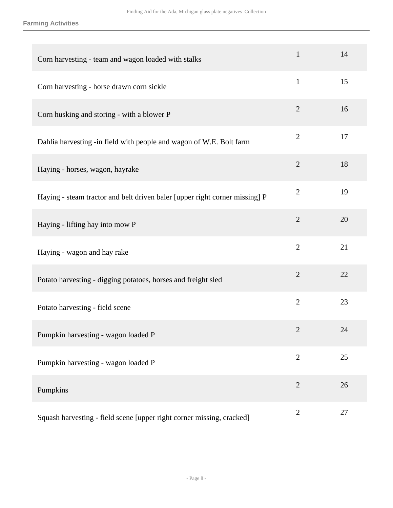**Farming Activities**

| Corn harvesting - team and wagon loaded with stalks                         | $\mathbf{1}$   | 14 |
|-----------------------------------------------------------------------------|----------------|----|
| Corn harvesting - horse drawn corn sickle                                   | $\mathbf{1}$   | 15 |
| Corn husking and storing - with a blower P                                  | $\overline{2}$ | 16 |
| Dahlia harvesting -in field with people and wagon of W.E. Bolt farm         | $\overline{2}$ | 17 |
| Haying - horses, wagon, hayrake                                             | $\overline{2}$ | 18 |
| Haying - steam tractor and belt driven baler [upper right corner missing] P | $\overline{2}$ | 19 |
| Haying - lifting hay into mow P                                             | $\overline{2}$ | 20 |
| Haying - wagon and hay rake                                                 | $\overline{2}$ | 21 |
| Potato harvesting - digging potatoes, horses and freight sled               | $\overline{2}$ | 22 |
| Potato harvesting - field scene                                             | $\overline{2}$ | 23 |
| Pumpkin harvesting - wagon loaded P                                         | 2              | 24 |
| Pumpkin harvesting - wagon loaded P                                         | $\mathbf{2}$   | 25 |
| Pumpkins                                                                    | $\overline{2}$ | 26 |
| Squash harvesting - field scene [upper right corner missing, cracked]       | $\overline{2}$ | 27 |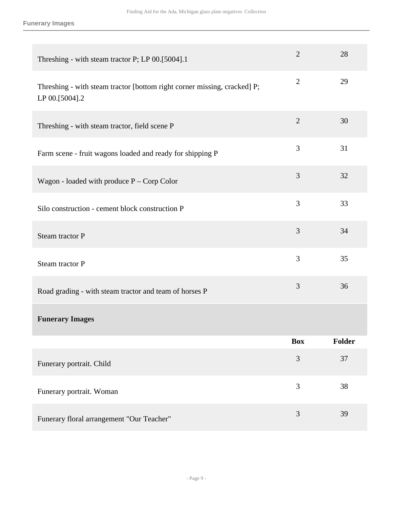### **Funerary Images**

| Threshing - with steam tractor P; LP 00.[5004].1                                           | $\overline{2}$ | 28            |
|--------------------------------------------------------------------------------------------|----------------|---------------|
| Threshing - with steam tractor [bottom right corner missing, cracked] P;<br>LP 00.[5004].2 | $\overline{2}$ | 29            |
| Threshing - with steam tractor, field scene P                                              | $\overline{2}$ | 30            |
| Farm scene - fruit wagons loaded and ready for shipping P                                  | 3              | 31            |
| Wagon - loaded with produce $P -$ Corp Color                                               | 3              | 32            |
| Silo construction - cement block construction P                                            | 3              | 33            |
| Steam tractor P                                                                            | 3              | 34            |
| Steam tractor P                                                                            | 3              | 35            |
| Road grading - with steam tractor and team of horses P                                     | 3              | 36            |
| <b>Funerary Images</b>                                                                     |                |               |
|                                                                                            | <b>Box</b>     | <b>Folder</b> |
| Funerary portrait. Child                                                                   | 3              | 37            |
| Funerary portrait. Woman                                                                   | 3              | 38            |
| Funerary floral arrangement "Our Teacher"                                                  | 3              | 39            |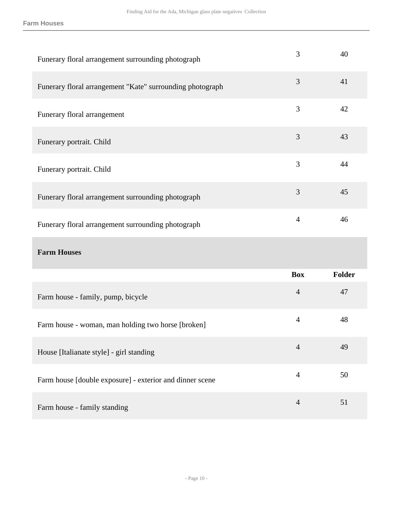**Farm Houses**

| Funerary floral arrangement surrounding photograph        | 3              | 40            |
|-----------------------------------------------------------|----------------|---------------|
| Funerary floral arrangement "Kate" surrounding photograph | 3              | 41            |
| Funerary floral arrangement                               | 3              | 42            |
| Funerary portrait. Child                                  | 3              | 43            |
| Funerary portrait. Child                                  | 3              | 44            |
| Funerary floral arrangement surrounding photograph        | 3              | 45            |
| Funerary floral arrangement surrounding photograph        | $\overline{4}$ | 46            |
|                                                           |                |               |
| <b>Farm Houses</b>                                        |                |               |
|                                                           | <b>Box</b>     | <b>Folder</b> |
| Farm house - family, pump, bicycle                        | $\overline{4}$ | 47            |
| Farm house - woman, man holding two horse [broken]        | $\overline{4}$ | 48            |
| House [Italianate style] - girl standing                  | $\overline{4}$ | 49            |
| Farm house [double exposure] - exterior and dinner scene  | $\overline{4}$ | 50            |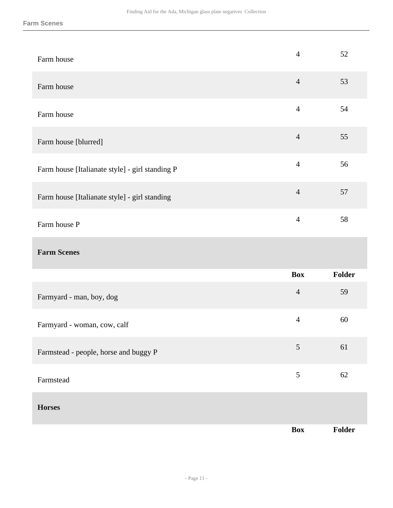| Farm house                                      | $\overline{4}$ | 52     |
|-------------------------------------------------|----------------|--------|
| Farm house                                      | $\overline{4}$ | 53     |
| Farm house                                      | $\overline{4}$ | 54     |
| Farm house [blurred]                            | $\overline{4}$ | 55     |
| Farm house [Italianate style] - girl standing P | $\overline{4}$ | 56     |
| Farm house [Italianate style] - girl standing   | $\overline{4}$ | 57     |
| Farm house P                                    | $\overline{4}$ | 58     |
| <b>Farm Scenes</b>                              |                |        |
|                                                 | <b>Box</b>     | Folder |
| Farmyard - man, boy, dog                        | $\overline{4}$ | 59     |
| Farmyard - woman, cow, calf                     | $\overline{4}$ | 60     |
| Farmstead - people, horse and buggy P           | 5              | 61     |
| Farmstead                                       |                | $62\,$ |
|                                                 | $\sqrt{5}$     |        |
| <b>Horses</b>                                   |                |        |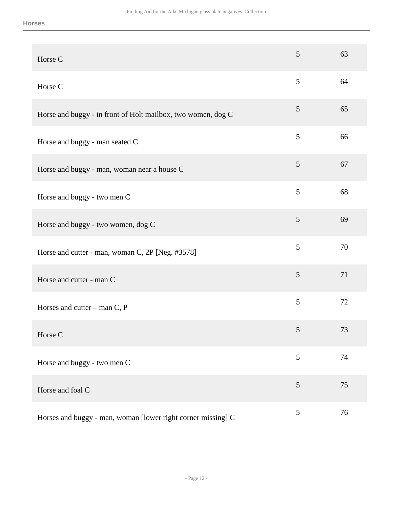| Horse C                                                      | 5              | 63 |
|--------------------------------------------------------------|----------------|----|
| Horse C                                                      | 5              | 64 |
| Horse and buggy - in front of Holt mailbox, two women, dog C | 5              | 65 |
| Horse and buggy - man seated C                               | 5              | 66 |
| Horse and buggy - man, woman near a house C                  | 5              | 67 |
| Horse and buggy - two men C                                  | 5              | 68 |
| Horse and buggy - two women, dog C                           | 5              | 69 |
| Horse and cutter - man, woman C, 2P [Neg. #3578]             | 5              | 70 |
| Horse and cutter - man C                                     | 5              | 71 |
| Horses and cutter – man $C$ , P                              | 5              | 72 |
| Horse C                                                      | 5              | 73 |
| Horse and buggy - two men C                                  | $\mathfrak{S}$ | 74 |
| Horse and foal C                                             | $\mathfrak{S}$ | 75 |
| Horses and buggy - man, woman [lower right corner missing] C | $\mathfrak{S}$ | 76 |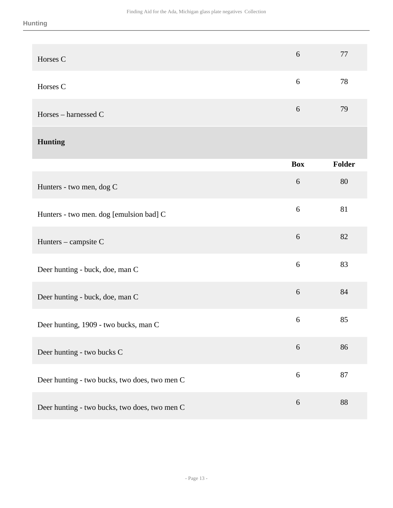| Horses C                                      | $6\,$            | 77     |
|-----------------------------------------------|------------------|--------|
| Horses C                                      | $\sqrt{6}$       | 78     |
| Horses - harnessed C                          | $6\,$            | 79     |
| <b>Hunting</b>                                |                  |        |
|                                               | <b>Box</b>       | Folder |
| Hunters - two men, dog C                      | $\boldsymbol{6}$ | 80     |
| Hunters - two men. dog [emulsion bad] C       | 6                | 81     |
| Hunters - campsite C                          | $6\,$            | 82     |
| Deer hunting - buck, doe, man C               | 6                | 83     |
| Deer hunting - buck, doe, man C               | $6\,$            | 84     |
| Deer hunting, 1909 - two bucks, man C         | 6                | 85     |
| Deer hunting - two bucks C                    | $6\,$            | 86     |
| Deer hunting - two bucks, two does, two men C | $\sqrt{6}$       | 87     |
| Deer hunting - two bucks, two does, two men C | $\boldsymbol{6}$ | 88     |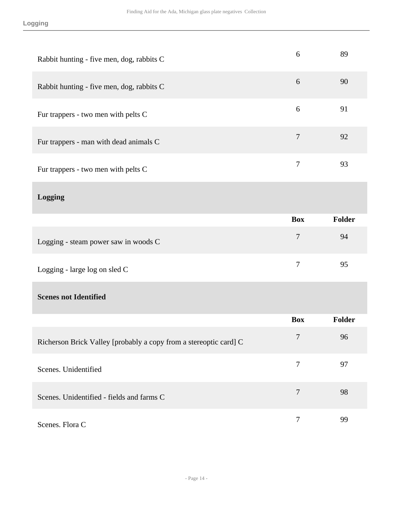| Rabbit hunting - five men, dog, rabbits C                         | 6                | 89     |
|-------------------------------------------------------------------|------------------|--------|
| Rabbit hunting - five men, dog, rabbits C                         | 6                | 90     |
| Fur trappers - two men with pelts C                               | 6                | 91     |
| Fur trappers - man with dead animals C                            | $\overline{7}$   | 92     |
| Fur trappers - two men with pelts C                               | $\overline{7}$   | 93     |
| Logging                                                           |                  |        |
|                                                                   | <b>Box</b>       | Folder |
| Logging - steam power saw in woods C                              | $\overline{7}$   | 94     |
| Logging - large log on sled C                                     | $\overline{7}$   | 95     |
| <b>Scenes not Identified</b>                                      |                  |        |
|                                                                   | <b>Box</b>       | Folder |
| Richerson Brick Valley [probably a copy from a stereoptic card] C | 7                | 96     |
| Scenes. Unidentified                                              | $\overline{7}$   | 97     |
| Scenes. Unidentified - fields and farms C                         | $\overline{7}$   | 98     |
| Scenes. Flora C                                                   | $\boldsymbol{7}$ | 99     |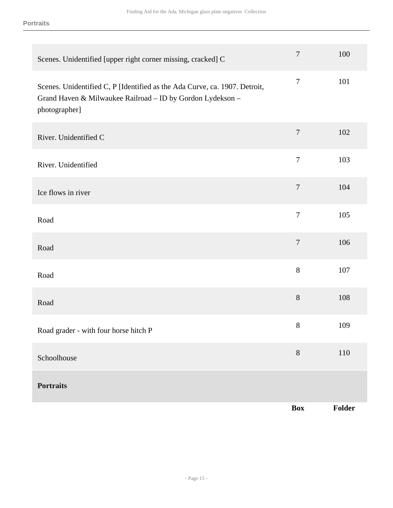| Scenes. Unidentified [upper right corner missing, cracked] C                                                                                              | $\boldsymbol{7}$ | 100    |
|-----------------------------------------------------------------------------------------------------------------------------------------------------------|------------------|--------|
| Scenes. Unidentified C, P [Identified as the Ada Curve, ca. 1907. Detroit,<br>Grand Haven & Milwaukee Railroad - ID by Gordon Lydekson -<br>photographer] | $\boldsymbol{7}$ | 101    |
| River. Unidentified C                                                                                                                                     | $\tau$           | 102    |
| River. Unidentified                                                                                                                                       | $\boldsymbol{7}$ | 103    |
| Ice flows in river                                                                                                                                        | $\overline{7}$   | 104    |
| Road                                                                                                                                                      | $\boldsymbol{7}$ | 105    |
| Road                                                                                                                                                      | $\boldsymbol{7}$ | 106    |
| Road                                                                                                                                                      | $8\,$            | 107    |
| Road                                                                                                                                                      | $8\,$            | 108    |
| Road grader - with four horse hitch P                                                                                                                     | $8\,$            | 109    |
| Schoolhouse                                                                                                                                               | $8\,$            | 110    |
| <b>Portraits</b>                                                                                                                                          |                  |        |
|                                                                                                                                                           | <b>Box</b>       | Folder |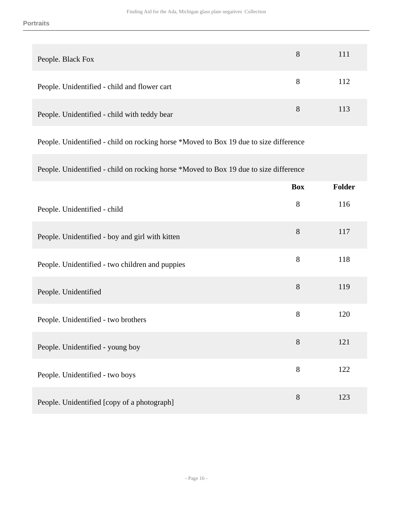| People. Black Fox                            | 8 | 111 |
|----------------------------------------------|---|-----|
| People. Unidentified - child and flower cart | 8 | 112 |
| People. Unidentified - child with teddy bear | 8 | 113 |

People. Unidentified - child on rocking horse \*Moved to Box 19 due to size difference

People. Unidentified - child on rocking horse \*Moved to Box 19 due to size difference

|                                                 | <b>Box</b> | Folder |
|-------------------------------------------------|------------|--------|
| People. Unidentified - child                    | $8\,$      | 116    |
| People. Unidentified - boy and girl with kitten | $8\,$      | 117    |
| People. Unidentified - two children and puppies | $8\,$      | 118    |
| People. Unidentified                            | 8          | 119    |
| People. Unidentified - two brothers             | 8          | 120    |
| People. Unidentified - young boy                | $8\,$      | 121    |
| People. Unidentified - two boys                 | 8          | 122    |
| People. Unidentified [copy of a photograph]     | 8          | 123    |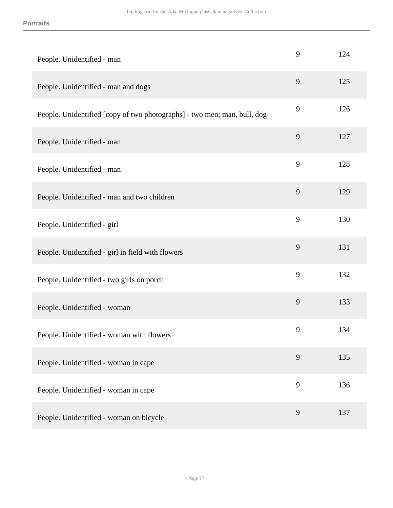| People. Unidentified - man                                               | 9 | 124 |
|--------------------------------------------------------------------------|---|-----|
| People. Unidentified - man and dogs                                      | 9 | 125 |
| People. Unidentified [copy of two photographs] - two men; man, bull, dog | 9 | 126 |
| People. Unidentified - man                                               | 9 | 127 |
| People. Unidentified - man                                               | 9 | 128 |
| People. Unidentified - man and two children                              | 9 | 129 |
| People. Unidentified - girl                                              | 9 | 130 |
| People. Unidentified - girl in field with flowers                        | 9 | 131 |
| People. Unidentified - two girls on porch                                | 9 | 132 |
| People. Unidentified - woman                                             | 9 | 133 |
| People. Unidentified - woman with flowers                                | 9 | 134 |
| People. Unidentified - woman in cape                                     | 9 | 135 |
| People. Unidentified - woman in cape                                     | 9 | 136 |
| People. Unidentified - woman on bicycle                                  | 9 | 137 |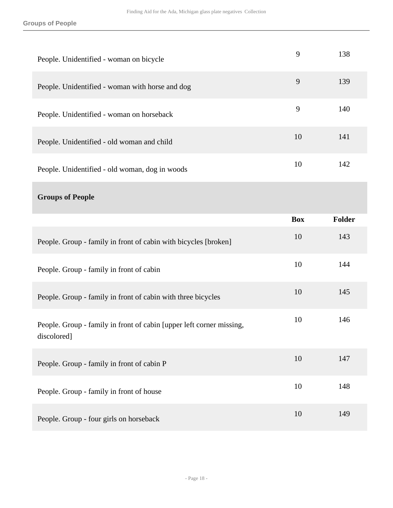| People. Unidentified - woman on bicycle                                             | 9          | 138    |
|-------------------------------------------------------------------------------------|------------|--------|
| People. Unidentified - woman with horse and dog                                     | 9          | 139    |
| People. Unidentified - woman on horseback                                           | 9          | 140    |
| People. Unidentified - old woman and child                                          | 10         | 141    |
| People. Unidentified - old woman, dog in woods                                      | 10         | 142    |
| <b>Groups of People</b>                                                             |            |        |
|                                                                                     | <b>Box</b> | Folder |
|                                                                                     |            |        |
| People. Group - family in front of cabin with bicycles [broken]                     | 10         | 143    |
| People. Group - family in front of cabin                                            | 10         | 144    |
| People. Group - family in front of cabin with three bicycles                        | 10         | 145    |
| People. Group - family in front of cabin [upper left corner missing,<br>discolored] | 10         | 146    |
| People. Group - family in front of cabin P                                          | 10         | 147    |
| People. Group - family in front of house                                            | 10         | 148    |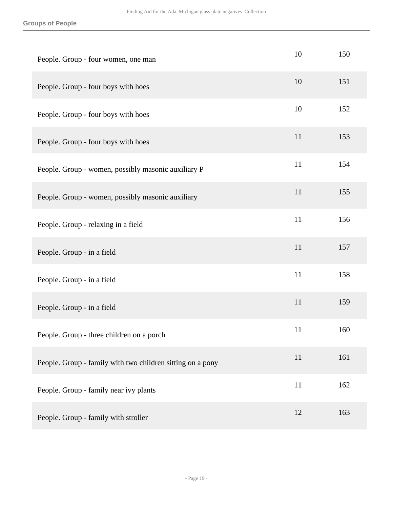| People. Group - four women, one man                        | 10 | 150 |
|------------------------------------------------------------|----|-----|
| People. Group - four boys with hoes                        | 10 | 151 |
| People. Group - four boys with hoes                        | 10 | 152 |
| People. Group - four boys with hoes                        | 11 | 153 |
| People. Group - women, possibly masonic auxiliary P        | 11 | 154 |
| People. Group - women, possibly masonic auxiliary          | 11 | 155 |
| People. Group - relaxing in a field                        | 11 | 156 |
| People. Group - in a field                                 | 11 | 157 |
| People. Group - in a field                                 | 11 | 158 |
| People. Group - in a field                                 | 11 | 159 |
| People. Group - three children on a porch                  | 11 | 160 |
| People. Group - family with two children sitting on a pony | 11 | 161 |
| People. Group - family near ivy plants                     | 11 | 162 |
| People. Group - family with stroller                       | 12 | 163 |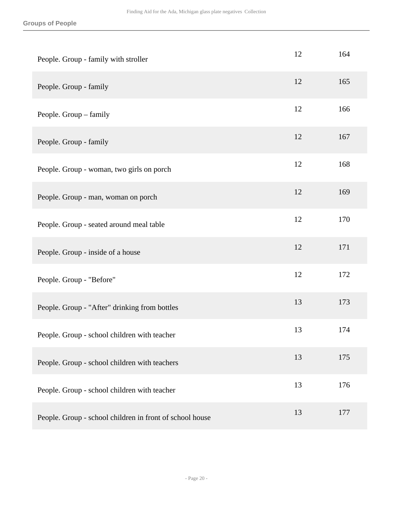| People. Group - family with stroller                     | 12 | 164 |
|----------------------------------------------------------|----|-----|
| People. Group - family                                   | 12 | 165 |
| People. Group - family                                   | 12 | 166 |
| People. Group - family                                   | 12 | 167 |
| People. Group - woman, two girls on porch                | 12 | 168 |
| People. Group - man, woman on porch                      | 12 | 169 |
| People. Group - seated around meal table                 | 12 | 170 |
| People. Group - inside of a house                        | 12 | 171 |
| People. Group - "Before"                                 | 12 | 172 |
| People. Group - "After" drinking from bottles            | 13 | 173 |
| People. Group - school children with teacher             | 13 | 174 |
| People. Group - school children with teachers            | 13 | 175 |
| People. Group - school children with teacher             | 13 | 176 |
| People. Group - school children in front of school house | 13 | 177 |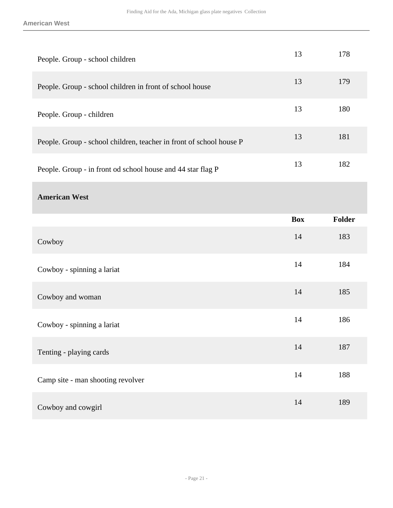| People. Group - school children                                     | 13         | 178           |
|---------------------------------------------------------------------|------------|---------------|
| People. Group - school children in front of school house            | 13         | 179           |
| People. Group - children                                            | 13         | 180           |
| People. Group - school children, teacher in front of school house P | 13         | 181           |
| People. Group - in front od school house and 44 star flag P         | 13         | 182           |
| <b>American West</b>                                                |            |               |
|                                                                     | <b>Box</b> | <b>Folder</b> |
| Cowboy                                                              | 14         | 183           |
|                                                                     |            |               |
| Cowboy - spinning a lariat                                          | 14         | 184           |
| Cowboy and woman                                                    | 14         | 185           |
| Cowboy - spinning a lariat                                          | 14         | 186           |
| Tenting - playing cards                                             | 14         | 187           |
| Camp site - man shooting revolver                                   | 14         | 188           |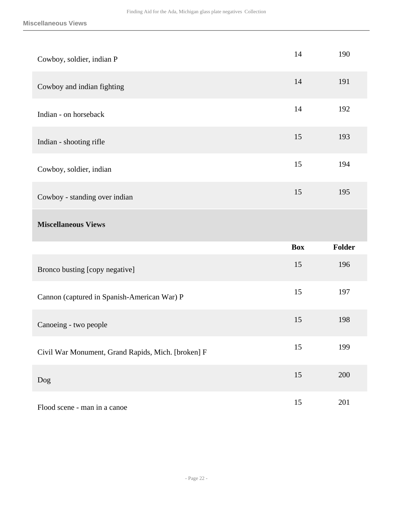| Cowboy, soldier, indian P                          | 14         | 190           |
|----------------------------------------------------|------------|---------------|
| Cowboy and indian fighting                         | 14         | 191           |
| Indian - on horseback                              | 14         | 192           |
| Indian - shooting rifle                            | 15         | 193           |
| Cowboy, soldier, indian                            | 15         | 194           |
| Cowboy - standing over indian                      | 15         | 195           |
| <b>Miscellaneous Views</b>                         |            |               |
|                                                    |            |               |
|                                                    | <b>Box</b> | <b>Folder</b> |
| Bronco busting [copy negative]                     | 15         | 196           |
| Cannon (captured in Spanish-American War) P        | 15         | 197           |
| Canoeing - two people                              | 15         | 198           |
| Civil War Monument, Grand Rapids, Mich. [broken] F | 15         | 199           |
| Dog                                                | 15         | 200           |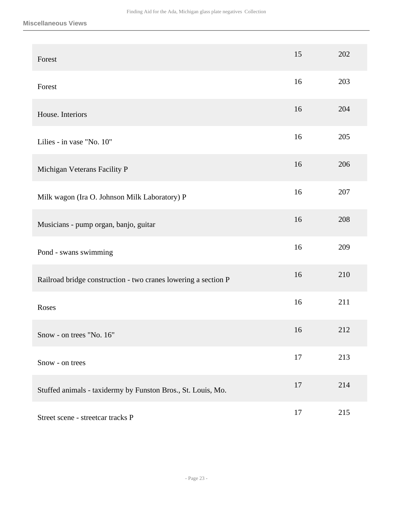| Forest                                                         | 15 | 202 |
|----------------------------------------------------------------|----|-----|
| Forest                                                         | 16 | 203 |
| House. Interiors                                               | 16 | 204 |
| Lilies - in vase "No. 10"                                      | 16 | 205 |
| Michigan Veterans Facility P                                   | 16 | 206 |
| Milk wagon (Ira O. Johnson Milk Laboratory) P                  | 16 | 207 |
| Musicians - pump organ, banjo, guitar                          | 16 | 208 |
| Pond - swans swimming                                          | 16 | 209 |
| Railroad bridge construction - two cranes lowering a section P | 16 | 210 |
| Roses                                                          | 16 | 211 |
| Snow - on trees "No. 16"                                       | 16 | 212 |
| Snow - on trees                                                | 17 | 213 |
| Stuffed animals - taxidermy by Funston Bros., St. Louis, Mo.   | 17 | 214 |
| Street scene - streetcar tracks P                              | 17 | 215 |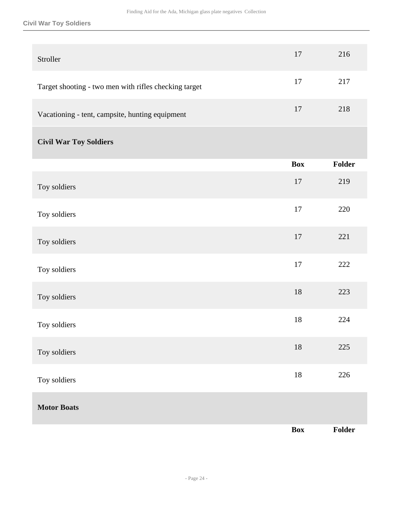#### **Civil War Toy Soldiers**

| Stroller                                              | 17         | 216     |
|-------------------------------------------------------|------------|---------|
| Target shooting - two men with rifles checking target | 17         | 217     |
| Vacationing - tent, campsite, hunting equipment       | 17         | 218     |
| <b>Civil War Toy Soldiers</b>                         |            |         |
|                                                       | <b>Box</b> | Folder  |
| Toy soldiers                                          | 17         | 219     |
| Toy soldiers                                          | 17         | 220     |
| Toy soldiers                                          | 17         | 221     |
| Toy soldiers                                          | $17\,$     | 222     |
| Toy soldiers                                          | $18\,$     | 223     |
| Toy soldiers                                          | 18         | 224     |
| Toy soldiers                                          | $18\,$     | $225\,$ |
| Toy soldiers                                          | $18\,$     | 226     |
| <b>Motor Boats</b>                                    |            |         |
|                                                       | <b>Box</b> | Folder  |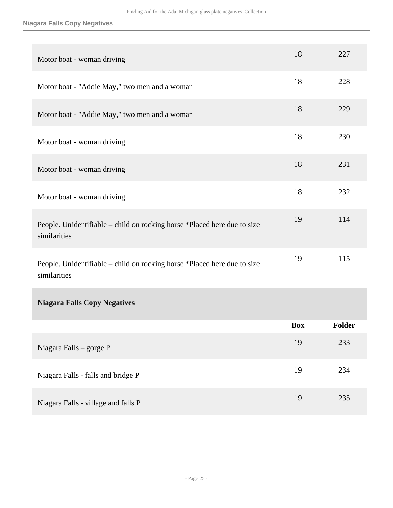# **Niagara Falls Copy Negatives**

| Motor boat - woman driving                                                               | 18         | 227    |
|------------------------------------------------------------------------------------------|------------|--------|
| Motor boat - "Addie May," two men and a woman                                            | 18         | 228    |
| Motor boat - "Addie May," two men and a woman                                            | 18         | 229    |
| Motor boat - woman driving                                                               | 18         | 230    |
| Motor boat - woman driving                                                               | 18         | 231    |
| Motor boat - woman driving                                                               | 18         | 232    |
| People. Unidentifiable – child on rocking horse *Placed here due to size<br>similarities | 19         | 114    |
| People. Unidentifiable – child on rocking horse *Placed here due to size<br>similarities | 19         | 115    |
| <b>Niagara Falls Copy Negatives</b>                                                      |            |        |
|                                                                                          | <b>Box</b> | Folder |
| Niagara Falls - gorge P                                                                  | 19         | 233    |
| Niagara Falls - falls and bridge P                                                       | 19         | 234    |
| Niagara Falls - village and falls P                                                      | 19         | 235    |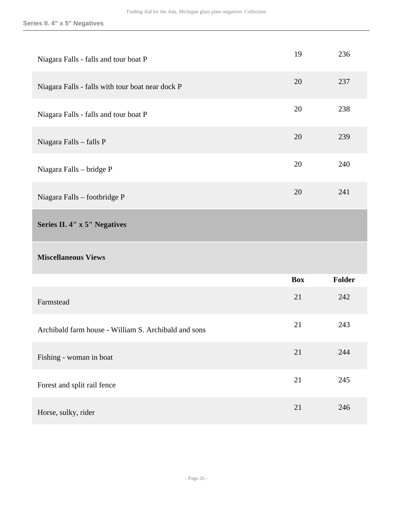# **Series II. 4" x 5" Negatives**

<span id="page-25-0"></span>

| Niagara Falls - falls and tour boat P                | 19         | 236    |
|------------------------------------------------------|------------|--------|
| Niagara Falls - falls with tour boat near dock P     | 20         | 237    |
| Niagara Falls - falls and tour boat P                | 20         | 238    |
| Niagara Falls - falls P                              | 20         | 239    |
| Niagara Falls - bridge P                             | 20         | 240    |
| Niagara Falls - footbridge P                         | 20         | 241    |
| Series II. 4" x 5" Negatives                         |            |        |
|                                                      |            |        |
| <b>Miscellaneous Views</b>                           |            |        |
|                                                      | <b>Box</b> | Folder |
| Farmstead                                            | 21         | 242    |
| Archibald farm house - William S. Archibald and sons | 21         | 243    |
| Fishing - woman in boat                              | 21         | 244    |
| Forest and split rail fence                          | 21         | 245    |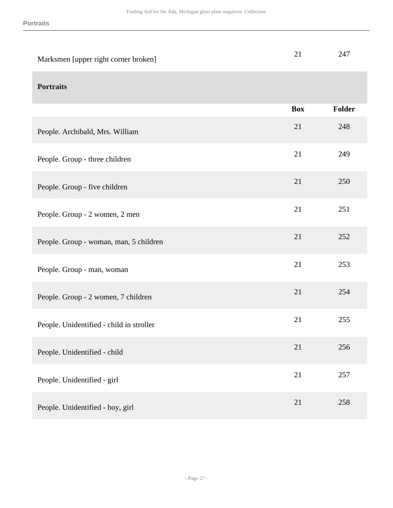| Marksmen [upper right corner broken]     | 21         | 247           |
|------------------------------------------|------------|---------------|
| <b>Portraits</b>                         |            |               |
|                                          | <b>Box</b> | <b>Folder</b> |
| People. Archibald, Mrs. William          | 21         | 248           |
| People. Group - three children           | 21         | 249           |
| People. Group - five children            | 21         | 250           |
| People. Group - 2 women, 2 men           | 21         | 251           |
| People. Group - woman, man, 5 children   | 21         | 252           |
| People. Group - man, woman               | 21         | 253           |
| People. Group - 2 women, 7 children      | 21         | 254           |
| People. Unidentified - child in stroller | 21         | 255           |
| People. Unidentified - child             | 21         | 256           |
| People. Unidentified - girl              | 21         | 257           |
| People. Unidentified - boy, girl         | 21         | 258           |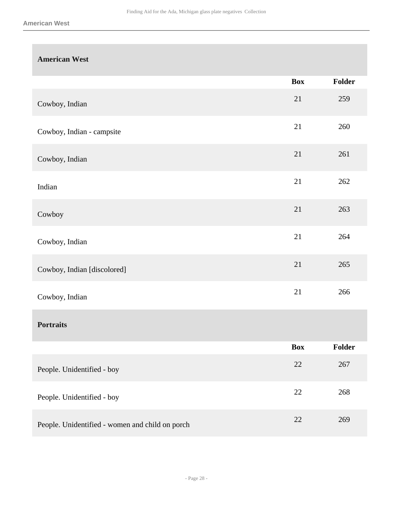# **American West**

|                                                 | <b>Box</b> | Folder |
|-------------------------------------------------|------------|--------|
| Cowboy, Indian                                  | 21         | 259    |
| Cowboy, Indian - campsite                       | 21         | 260    |
| Cowboy, Indian                                  | 21         | 261    |
| Indian                                          | 21         | 262    |
| Cowboy                                          | 21         | 263    |
| Cowboy, Indian                                  | 21         | 264    |
| Cowboy, Indian [discolored]                     | 21         | 265    |
| Cowboy, Indian                                  | 21         | 266    |
| <b>Portraits</b>                                |            |        |
|                                                 | <b>Box</b> | Folder |
| People. Unidentified - boy                      | 22         | 267    |
| People. Unidentified - boy                      | 22         | 268    |
| People. Unidentified - women and child on porch | 22         | 269    |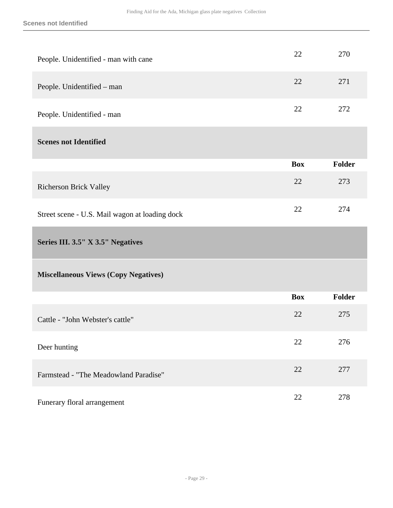<span id="page-28-0"></span>

| People. Unidentified - man with cane           | 22         | 270           |
|------------------------------------------------|------------|---------------|
| People. Unidentified - man                     | 22         | 271           |
| People. Unidentified - man                     | 22         | 272           |
| <b>Scenes not Identified</b>                   |            |               |
|                                                | <b>Box</b> | <b>Folder</b> |
| <b>Richerson Brick Valley</b>                  | 22         | 273           |
| Street scene - U.S. Mail wagon at loading dock | 22         | 274           |
| Series III. 3.5" X 3.5" Negatives              |            |               |
| <b>Miscellaneous Views (Copy Negatives)</b>    |            |               |
|                                                | <b>Box</b> | <b>Folder</b> |
| Cattle - "John Webster's cattle"               | 22         | 275           |
| Deer hunting                                   | 22         | 276           |
| Farmstead - "The Meadowland Paradise"          | 22         | 277           |
| Funerary floral arrangement                    | 22         | 278           |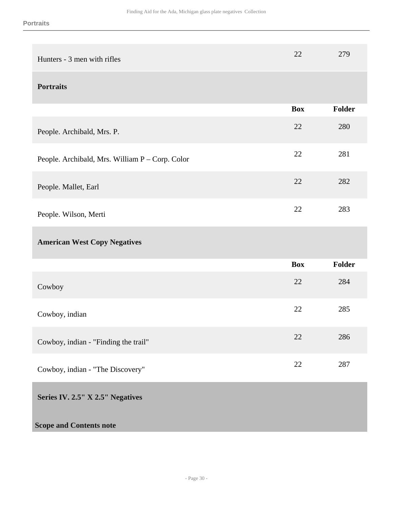<span id="page-29-0"></span>

| Hunters - 3 men with rifles                     | 22         | 279           |
|-------------------------------------------------|------------|---------------|
| <b>Portraits</b>                                |            |               |
|                                                 | <b>Box</b> | <b>Folder</b> |
| People. Archibald, Mrs. P.                      | 22         | 280           |
| People. Archibald, Mrs. William P - Corp. Color | 22         | 281           |
| People. Mallet, Earl                            | 22         | 282           |
| People. Wilson, Merti                           | 22         | 283           |
| <b>American West Copy Negatives</b>             |            |               |
|                                                 | <b>Box</b> | Folder        |
| Cowboy                                          | 22         | 284           |
| Cowboy, indian                                  |            | 285           |
|                                                 | 22         |               |
| Cowboy, indian - "Finding the trail"            | 22         | 286           |
| Cowboy, indian - "The Discovery"                | 22         | 287           |
| Series IV. 2.5" X 2.5" Negatives                |            |               |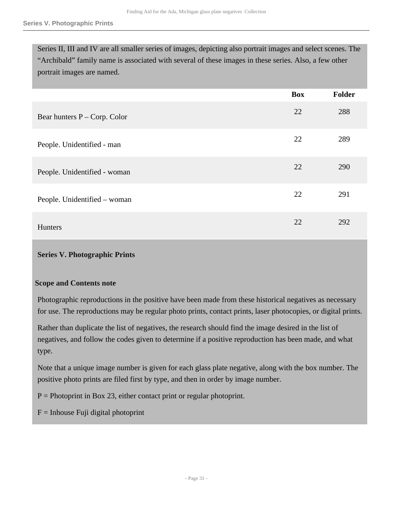Series II, III and IV are all smaller series of images, depicting also portrait images and select scenes. The "Archibald" family name is associated with several of these images in these series. Also, a few other portrait images are named.

|                                | <b>Box</b> | Folder |
|--------------------------------|------------|--------|
| Bear hunters $P - Corp. Color$ | 22         | 288    |
| People. Unidentified - man     | 22         | 289    |
| People. Unidentified - woman   | 22         | 290    |
| People. Unidentified – woman   | 22         | 291    |
| Hunters                        | 22         | 292    |

## <span id="page-30-0"></span>**Series V. Photographic Prints**

### **Scope and Contents note**

Photographic reproductions in the positive have been made from these historical negatives as necessary for use. The reproductions may be regular photo prints, contact prints, laser photocopies, or digital prints.

Rather than duplicate the list of negatives, the research should find the image desired in the list of negatives, and follow the codes given to determine if a positive reproduction has been made, and what type.

Note that a unique image number is given for each glass plate negative, along with the box number. The positive photo prints are filed first by type, and then in order by image number.

 $P =$  Photoprint in Box 23, either contact print or regular photoprint.

 $F = Inhouse Fuii digital photoprint$